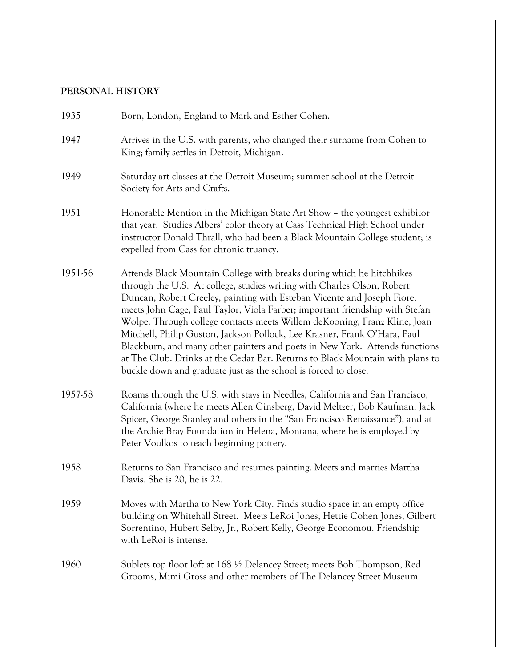## **PERSONAL HISTORY**

| 1935    | Born, London, England to Mark and Esther Cohen.                                                                                                                                                                                                                                                                                                                                                                                                                                                                                                                                                                                                                                                           |
|---------|-----------------------------------------------------------------------------------------------------------------------------------------------------------------------------------------------------------------------------------------------------------------------------------------------------------------------------------------------------------------------------------------------------------------------------------------------------------------------------------------------------------------------------------------------------------------------------------------------------------------------------------------------------------------------------------------------------------|
| 1947    | Arrives in the U.S. with parents, who changed their surname from Cohen to<br>King; family settles in Detroit, Michigan.                                                                                                                                                                                                                                                                                                                                                                                                                                                                                                                                                                                   |
| 1949    | Saturday art classes at the Detroit Museum; summer school at the Detroit<br>Society for Arts and Crafts.                                                                                                                                                                                                                                                                                                                                                                                                                                                                                                                                                                                                  |
| 1951    | Honorable Mention in the Michigan State Art Show - the youngest exhibitor<br>that year. Studies Albers' color theory at Cass Technical High School under<br>instructor Donald Thrall, who had been a Black Mountain College student; is<br>expelled from Cass for chronic truancy.                                                                                                                                                                                                                                                                                                                                                                                                                        |
| 1951-56 | Attends Black Mountain College with breaks during which he hitchhikes<br>through the U.S. At college, studies writing with Charles Olson, Robert<br>Duncan, Robert Creeley, painting with Esteban Vicente and Joseph Fiore,<br>meets John Cage, Paul Taylor, Viola Farber; important friendship with Stefan<br>Wolpe. Through college contacts meets Willem de Kooning, Franz Kline, Joan<br>Mitchell, Philip Guston, Jackson Pollock, Lee Krasner, Frank O'Hara, Paul<br>Blackburn, and many other painters and poets in New York. Attends functions<br>at The Club. Drinks at the Cedar Bar. Returns to Black Mountain with plans to<br>buckle down and graduate just as the school is forced to close. |
| 1957-58 | Roams through the U.S. with stays in Needles, California and San Francisco,<br>California (where he meets Allen Ginsberg, David Meltzer, Bob Kaufman, Jack<br>Spicer, George Stanley and others in the "San Francisco Renaissance"); and at<br>the Archie Bray Foundation in Helena, Montana, where he is employed by<br>Peter Voulkos to teach beginning pottery.                                                                                                                                                                                                                                                                                                                                        |
| 1958    | Returns to San Francisco and resumes painting. Meets and marries Martha<br>Davis. She is 20, he is 22.                                                                                                                                                                                                                                                                                                                                                                                                                                                                                                                                                                                                    |
| 1959    | Moves with Martha to New York City. Finds studio space in an empty office<br>building on Whitehall Street. Meets LeRoi Jones, Hettie Cohen Jones, Gilbert<br>Sorrentino, Hubert Selby, Jr., Robert Kelly, George Economou. Friendship<br>with LeRoi is intense.                                                                                                                                                                                                                                                                                                                                                                                                                                           |
| 1960    | Sublets top floor loft at 168 ½ Delancey Street; meets Bob Thompson, Red<br>Grooms, Mimi Gross and other members of The Delancey Street Museum.                                                                                                                                                                                                                                                                                                                                                                                                                                                                                                                                                           |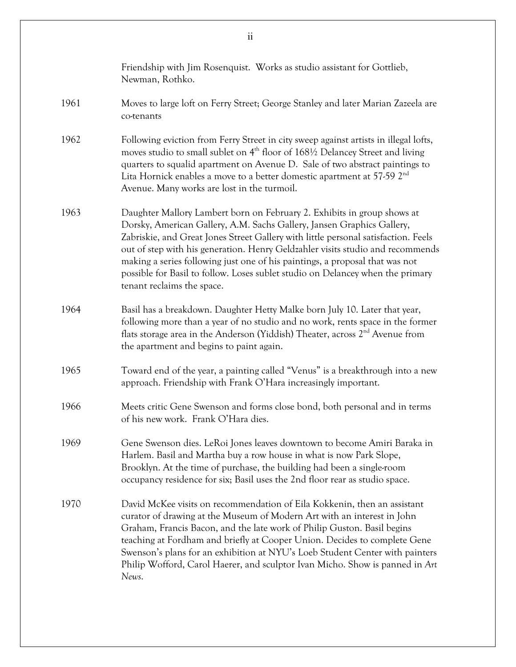|      | Friendship with Jim Rosenquist. Works as studio assistant for Gottlieb,<br>Newman, Rothko.                                                                                                                                                                                                                                                                                                                                                                                                                                |
|------|---------------------------------------------------------------------------------------------------------------------------------------------------------------------------------------------------------------------------------------------------------------------------------------------------------------------------------------------------------------------------------------------------------------------------------------------------------------------------------------------------------------------------|
| 1961 | Moves to large loft on Ferry Street; George Stanley and later Marian Zazeela are<br>co-tenants                                                                                                                                                                                                                                                                                                                                                                                                                            |
| 1962 | Following eviction from Ferry Street in city sweep against artists in illegal lofts,<br>moves studio to small sublet on 4 <sup>th</sup> floor of 168½ Delancey Street and living<br>quarters to squalid apartment on Avenue D. Sale of two abstract paintings to<br>Lita Hornick enables a move to a better domestic apartment at 57-59 2 <sup>nd</sup><br>Avenue. Many works are lost in the turmoil.                                                                                                                    |
| 1963 | Daughter Mallory Lambert born on February 2. Exhibits in group shows at<br>Dorsky, American Gallery, A.M. Sachs Gallery, Jansen Graphics Gallery,<br>Zabriskie, and Great Jones Street Gallery with little personal satisfaction. Feels<br>out of step with his generation. Henry Geldzahler visits studio and recommends<br>making a series following just one of his paintings, a proposal that was not<br>possible for Basil to follow. Loses sublet studio on Delancey when the primary<br>tenant reclaims the space. |
| 1964 | Basil has a breakdown. Daughter Hetty Malke born July 10. Later that year,<br>following more than a year of no studio and no work, rents space in the former<br>flats storage area in the Anderson (Yiddish) Theater, across 2 <sup>nd</sup> Avenue from<br>the apartment and begins to paint again.                                                                                                                                                                                                                      |
| 1965 | Toward end of the year, a painting called "Venus" is a breakthrough into a new<br>approach. Friendship with Frank O'Hara increasingly important.                                                                                                                                                                                                                                                                                                                                                                          |
| 1966 | Meets critic Gene Swenson and forms close bond, both personal and in terms<br>of his new work. Frank O'Hara dies.                                                                                                                                                                                                                                                                                                                                                                                                         |
| 1969 | Gene Swenson dies. LeRoi Jones leaves downtown to become Amiri Baraka in<br>Harlem. Basil and Martha buy a row house in what is now Park Slope,<br>Brooklyn. At the time of purchase, the building had been a single-room<br>occupancy residence for six; Basil uses the 2nd floor rear as studio space.                                                                                                                                                                                                                  |
| 1970 | David McKee visits on recommendation of Eila Kokkenin, then an assistant<br>curator of drawing at the Museum of Modern Art with an interest in John<br>Graham, Francis Bacon, and the late work of Philip Guston. Basil begins<br>teaching at Fordham and briefly at Cooper Union. Decides to complete Gene<br>Swenson's plans for an exhibition at NYU's Loeb Student Center with painters<br>Philip Wofford, Carol Haerer, and sculptor Ivan Micho. Show is panned in Art<br>News.                                      |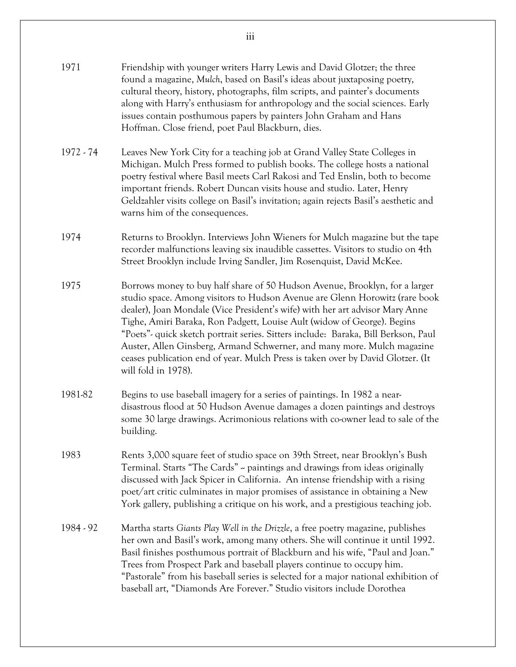| 1971        | Friendship with younger writers Harry Lewis and David Glotzer; the three<br>found a magazine, Mulch, based on Basil's ideas about juxtaposing poetry,<br>cultural theory, history, photographs, film scripts, and painter's documents<br>along with Harry's enthusiasm for anthropology and the social sciences. Early<br>issues contain posthumous papers by painters John Graham and Hans<br>Hoffman. Close friend, poet Paul Blackburn, dies.                                                                                                                                                 |
|-------------|--------------------------------------------------------------------------------------------------------------------------------------------------------------------------------------------------------------------------------------------------------------------------------------------------------------------------------------------------------------------------------------------------------------------------------------------------------------------------------------------------------------------------------------------------------------------------------------------------|
| $1972 - 74$ | Leaves New York City for a teaching job at Grand Valley State Colleges in<br>Michigan. Mulch Press formed to publish books. The college hosts a national<br>poetry festival where Basil meets Carl Rakosi and Ted Enslin, both to become<br>important friends. Robert Duncan visits house and studio. Later, Henry<br>Geldzahler visits college on Basil's invitation; again rejects Basil's aesthetic and<br>warns him of the consequences.                                                                                                                                                     |
| 1974        | Returns to Brooklyn. Interviews John Wieners for Mulch magazine but the tape<br>recorder malfunctions leaving six inaudible cassettes. Visitors to studio on 4th<br>Street Brooklyn include Irving Sandler, Jim Rosenquist, David McKee.                                                                                                                                                                                                                                                                                                                                                         |
| 1975        | Borrows money to buy half share of 50 Hudson Avenue, Brooklyn, for a larger<br>studio space. Among visitors to Hudson Avenue are Glenn Horowitz (rare book<br>dealer), Joan Mondale (Vice President's wife) with her art advisor Mary Anne<br>Tighe, Amiri Baraka, Ron Padgett, Louise Ault (widow of George). Begins<br>"Poets"- quick sketch portrait series. Sitters include: Baraka, Bill Berkson, Paul<br>Auster, Allen Ginsberg, Armand Schwerner, and many more. Mulch magazine<br>ceases publication end of year. Mulch Press is taken over by David Glotzer. (It<br>will fold in 1978). |
| 1981-82     | Begins to use baseball imagery for a series of paintings. In 1982 a near-<br>disastrous flood at 50 Hudson Avenue damages a dozen paintings and destroys<br>some 30 large drawings. Acrimonious relations with co-owner lead to sale of the<br>building.                                                                                                                                                                                                                                                                                                                                         |
| 1983        | Rents 3,000 square feet of studio space on 39th Street, near Brooklyn's Bush<br>Terminal. Starts "The Cards" ~ paintings and drawings from ideas originally<br>discussed with Jack Spicer in California. An intense friendship with a rising<br>poet/art critic culminates in major promises of assistance in obtaining a New<br>York gallery, publishing a critique on his work, and a prestigious teaching job.                                                                                                                                                                                |
| 1984 - 92   | Martha starts Giants Play Well in the Drizzle, a free poetry magazine, publishes<br>her own and Basil's work, among many others. She will continue it until 1992.<br>Basil finishes posthumous portrait of Blackburn and his wife, "Paul and Joan."<br>Trees from Prospect Park and baseball players continue to occupy him.<br>"Pastorale" from his baseball series is selected for a major national exhibition of<br>baseball art, "Diamonds Are Forever." Studio visitors include Dorothea                                                                                                    |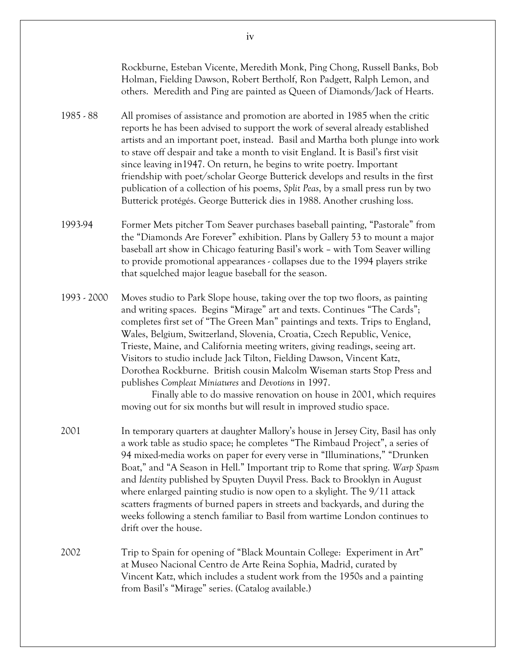Rockburne, Esteban Vicente, Meredith Monk, Ping Chong, Russell Banks, Bob Holman, Fielding Dawson, Robert Bertholf, Ron Padgett, Ralph Lemon, and others. Meredith and Ping are painted as Queen of Diamonds/Jack of Hearts. 1985 - 88 All promises of assistance and promotion are aborted in 1985 when the critic reports he has been advised to support the work of several already established artists and an important poet, instead. Basil and Martha both plunge into work to stave off despair and take a month to visit England. It is Basil's first visit since leaving in1947. On return, he begins to write poetry. Important friendship with poet/scholar George Butterick develops and results in the first publication of a collection of his poems, *Split Peas*, by a small press run by two Butterick protégés. George Butterick dies in 1988. Another crushing loss. 1993-94 Former Mets pitcher Tom Seaver purchases baseball painting, "Pastorale" from the "Diamonds Are Forever" exhibition. Plans by Gallery 53 to mount a major baseball art show in Chicago featuring Basil's work – with Tom Seaver willing to provide promotional appearances - collapses due to the 1994 players strike that squelched major league baseball for the season. 1993 - 2000 Moves studio to Park Slope house, taking over the top two floors, as painting and writing spaces. Begins "Mirage" art and texts. Continues "The Cards"; completes first set of "The Green Man" paintings and texts. Trips to England, Wales, Belgium, Switzerland, Slovenia, Croatia, Czech Republic, Venice, Trieste, Maine, and California meeting writers, giving readings, seeing art. Visitors to studio include Jack Tilton, Fielding Dawson, Vincent Katz, Dorothea Rockburne. British cousin Malcolm Wiseman starts Stop Press and publishes *Compleat Miniatures* and *Devotions* in 1997. Finally able to do massive renovation on house in 2001, which requires moving out for six months but will result in improved studio space. 2001 In temporary quarters at daughter Mallory's house in Jersey City, Basil has only a work table as studio space; he completes "The Rimbaud Project", a series of 94 mixed-media works on paper for every verse in "Illuminations," "Drunken Boat," and "A Season in Hell." Important trip to Rome that spring. *Warp Spasm* and *Identity* published by Spuyten Duyvil Press. Back to Brooklyn in August where enlarged painting studio is now open to a skylight. The 9/11 attack scatters fragments of burned papers in streets and backyards, and during the weeks following a stench familiar to Basil from wartime London continues to drift over the house. 2002 Trip to Spain for opening of "Black Mountain College: Experiment in Art" at Museo Nacional Centro de Arte Reina Sophia, Madrid, curated by Vincent Katz, which includes a student work from the 1950s and a painting from Basil's "Mirage" series. (Catalog available.)

iv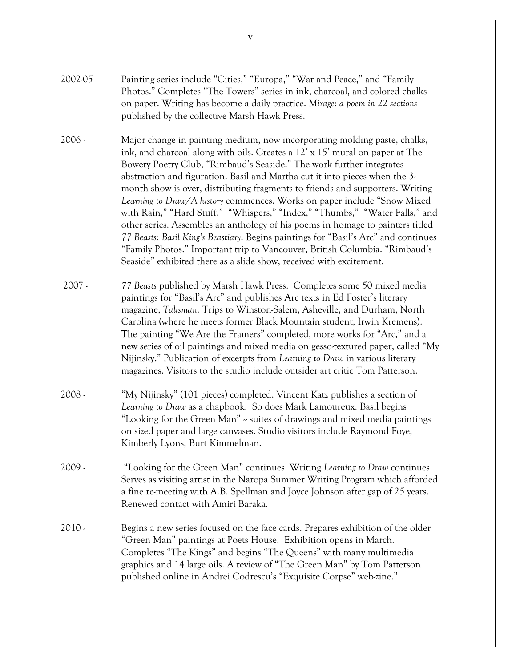- 2002-05 Painting series include "Cities," "Europa," "War and Peace," and "Family Photos." Completes "The Towers" series in ink, charcoal, and colored chalks on paper. Writing has become a daily practice. *Mirage: a poem in 22 sections* published by the collective Marsh Hawk Press.
- 2006 Major change in painting medium, now incorporating molding paste, chalks, ink, and charcoal along with oils. Creates a 12' x 15' mural on paper at The Bowery Poetry Club, "Rimbaud's Seaside." The work further integrates abstraction and figuration. Basil and Martha cut it into pieces when the 3 month show is over, distributing fragments to friends and supporters. Writing *Learning to Draw/A history* commences. Works on paper include "Snow Mixed with Rain," "Hard Stuff," "Whispers," "Index," "Thumbs," "Water Falls," and other series. Assembles an anthology of his poems in homage to painters titled *77 Beasts: Basil King's Beastiary*. Begins paintings for "Basil's Arc" and continues "Family Photos." Important trip to Vancouver, British Columbia. "Rimbaud's Seaside" exhibited there as a slide show, received with excitement.
- 2007 *77 Beasts* published by Marsh Hawk Press. Completes some 50 mixed media paintings for "Basil's Arc" and publishes Arc texts in Ed Foster's literary magazine, *Talisman*. Trips to Winston-Salem, Asheville, and Durham, North Carolina (where he meets former Black Mountain student, Irwin Kremens). The painting "We Are the Framers" completed, more works for "Arc," and a new series of oil paintings and mixed media on gesso-textured paper, called "My Nijinsky." Publication of excerpts from *Learning to Draw* in various literary magazines. Visitors to the studio include outsider art critic Tom Patterson.
- 2008 "My Nijinsky" (101 pieces) completed. Vincent Katz publishes a section of *Learning to Draw* as a chapbook. So does Mark Lamoureux. Basil begins "Looking for the Green Man" – suites of drawings and mixed media paintings on sized paper and large canvases. Studio visitors include Raymond Foye, Kimberly Lyons, Burt Kimmelman.
- 2009 "Looking for the Green Man" continues. Writing *Learning to Draw* continues. Serves as visiting artist in the Naropa Summer Writing Program which afforded a fine re-meeting with A.B. Spellman and Joyce Johnson after gap of 25 years. Renewed contact with Amiri Baraka.
- 2010 Begins a new series focused on the face cards. Prepares exhibition of the older "Green Man" paintings at Poets House. Exhibition opens in March. Completes "The Kings" and begins "The Queens" with many multimedia graphics and 14 large oils. A review of "The Green Man" by Tom Patterson published online in Andrei Codrescu's "Exquisite Corpse" web-zine."

v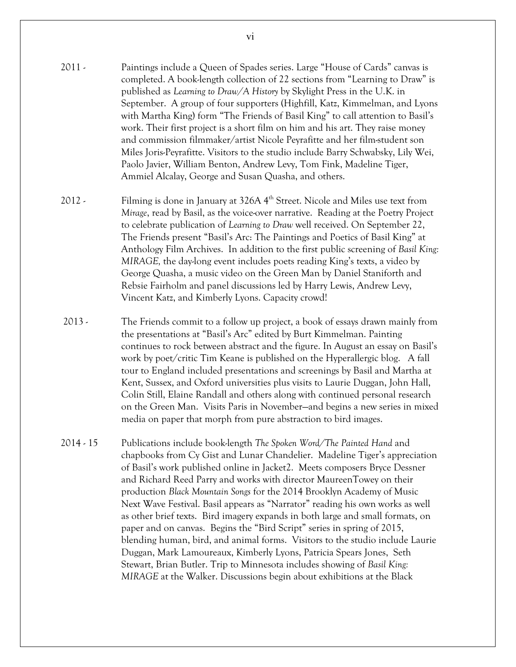- 2011 Paintings include a Queen of Spades series. Large "House of Cards" canvas is completed. A book-length collection of 22 sections from "Learning to Draw" is published as *Learning to Draw/A History* by Skylight Press in the U.K. in September. A group of four supporters (Highfill, Katz, Kimmelman, and Lyons with Martha King) form "The Friends of Basil King" to call attention to Basil's work. Their first project is a short film on him and his art. They raise money and commission filmmaker/artist Nicole Peyrafitte and her film-student son Miles Joris-Peyrafitte. Visitors to the studio include Barry Schwabsky, Lily Wei, Paolo Javier, William Benton, Andrew Levy, Tom Fink, Madeline Tiger, Ammiel Alcalay, George and Susan Quasha, and others.
- 2012 Filming is done in January at 326A 4<sup>th</sup> Street. Nicole and Miles use text from *Mirage*, read by Basil, as the voice-over narrative. Reading at the Poetry Project to celebrate publication of *Learning to Draw* well received. On September 22, The Friends present "Basil's Arc: The Paintings and Poetics of Basil King" at Anthology Film Archives. In addition to the first public screening of *Basil King: MIRAGE,* the day-long event includes poets reading King's texts, a video by George Quasha, a music video on the Green Man by Daniel Staniforth and Rebsie Fairholm and panel discussions led by Harry Lewis, Andrew Levy, Vincent Katz, and Kimberly Lyons. Capacity crowd!
- 2013 The Friends commit to a follow up project, a book of essays drawn mainly from the presentations at "Basil's Arc" edited by Burt Kimmelman. Painting continues to rock between abstract and the figure. In August an essay on Basil's work by poet/critic Tim Keane is published on the Hyperallergic blog. A fall tour to England included presentations and screenings by Basil and Martha at Kent, Sussex, and Oxford universities plus visits to Laurie Duggan, John Hall, Colin Still, Elaine Randall and others along with continued personal research on the Green Man. Visits Paris in November—and begins a new series in mixed media on paper that morph from pure abstraction to bird images.
- 2014 15 Publications include book-length *The Spoken Word/The Painted Hand* and chapbooks from Cy Gist and Lunar Chandelier. Madeline Tiger's appreciation of Basil's work published online in Jacket2. Meets composers Bryce Dessner and Richard Reed Parry and works with director MaureenTowey on their production *Black Mountain Songs* for the 2014 Brooklyn Academy of Music Next Wave Festival. Basil appears as "Narrator" reading his own works as well as other brief texts. Bird imagery expands in both large and small formats, on paper and on canvas. Begins the "Bird Script" series in spring of 2015, blending human, bird, and animal forms. Visitors to the studio include Laurie Duggan, Mark Lamoureaux, Kimberly Lyons, Patricia Spears Jones, Seth Stewart, Brian Butler. Trip to Minnesota includes showing of *Basil King: MIRAGE* at the Walker. Discussions begin about exhibitions at the Black